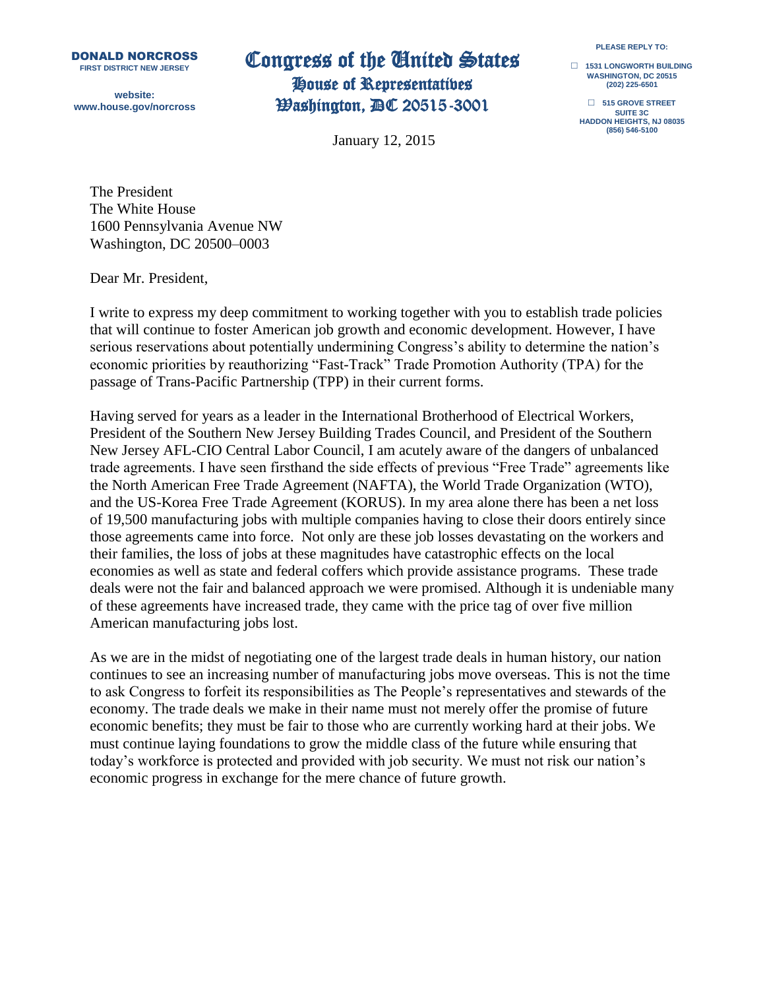DONALD NORCROSS **FIRST DISTRICT NEW JERSEY**

**website: www.house.gov/norcross**

## Congress of the United States House of Representatives

Washington, DC 20515-3001

January 12, 2015

**PLEASE REPLY TO:**

**□ 1531 LONGWORTH BUILDING WASHINGTON, DC 20515 (202) 225-6501**

**□ 515 GROVE STREET SUITE 3C HADDON HEIGHTS, NJ 08035 (856) 546-5100**

The President The White House 1600 Pennsylvania Avenue NW Washington, DC 20500–0003

Dear Mr. President,

I write to express my deep commitment to working together with you to establish trade policies that will continue to foster American job growth and economic development. However, I have serious reservations about potentially undermining Congress's ability to determine the nation's economic priorities by reauthorizing "Fast-Track" Trade Promotion Authority (TPA) for the passage of Trans-Pacific Partnership (TPP) in their current forms.

Having served for years as a leader in the International Brotherhood of Electrical Workers, President of the Southern New Jersey Building Trades Council, and President of the Southern New Jersey AFL-CIO Central Labor Council, I am acutely aware of the dangers of unbalanced trade agreements. I have seen firsthand the side effects of previous "Free Trade" agreements like the North American Free Trade Agreement (NAFTA), the World Trade Organization (WTO), and the US-Korea Free Trade Agreement (KORUS). In my area alone there has been a net loss of 19,500 manufacturing jobs with multiple companies having to close their doors entirely since those agreements came into force. Not only are these job losses devastating on the workers and their families, the loss of jobs at these magnitudes have catastrophic effects on the local economies as well as state and federal coffers which provide assistance programs. These trade deals were not the fair and balanced approach we were promised. Although it is undeniable many of these agreements have increased trade, they came with the price tag of over five million American manufacturing jobs lost.

As we are in the midst of negotiating one of the largest trade deals in human history, our nation continues to see an increasing number of manufacturing jobs move overseas. This is not the time to ask Congress to forfeit its responsibilities as The People's representatives and stewards of the economy. The trade deals we make in their name must not merely offer the promise of future economic benefits; they must be fair to those who are currently working hard at their jobs. We must continue laying foundations to grow the middle class of the future while ensuring that today's workforce is protected and provided with job security. We must not risk our nation's economic progress in exchange for the mere chance of future growth.